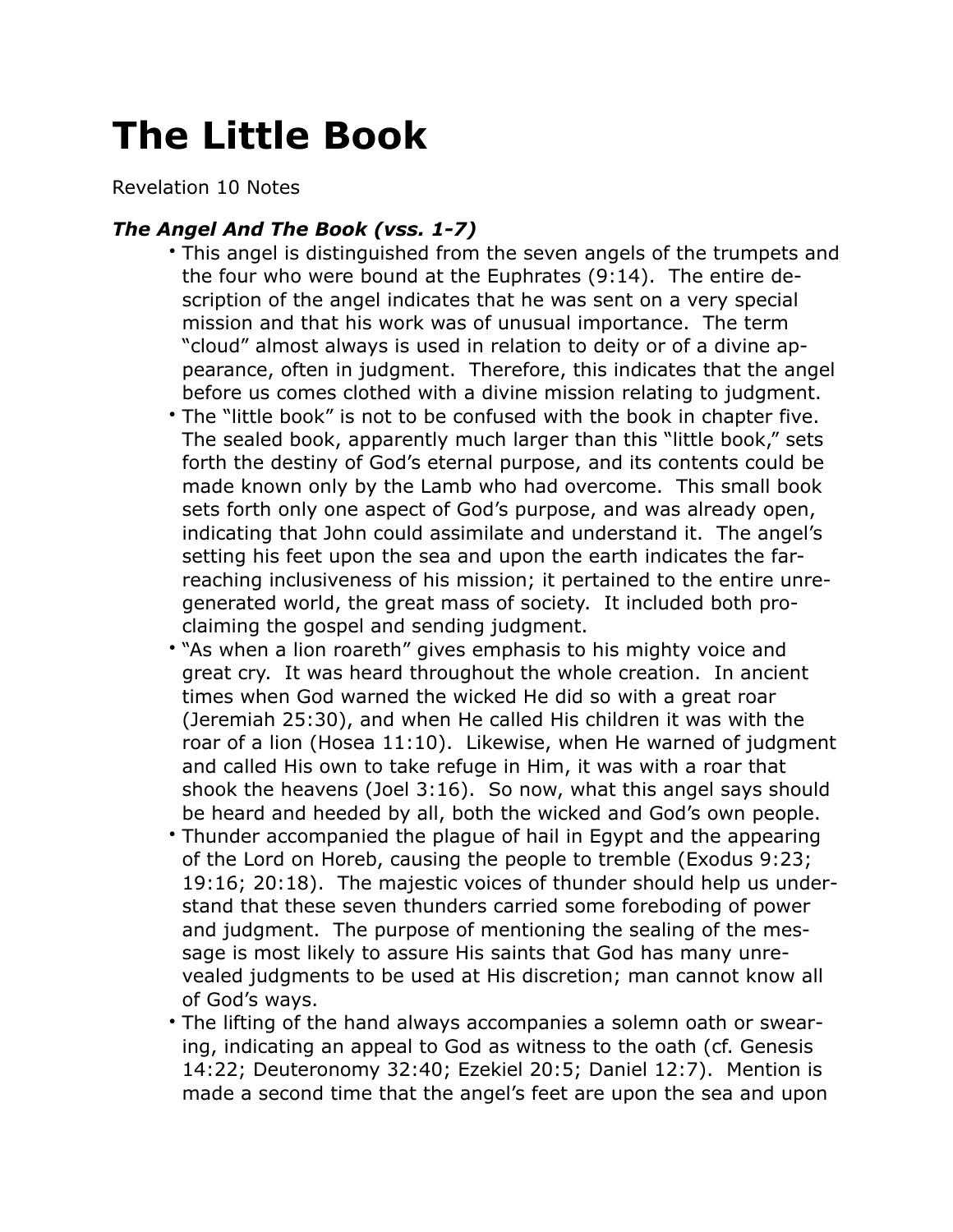## **The Little Book**

Revelation 10 Notes

## *The Angel And The Book (vss. 1-7)*

- This angel is distinguished from the seven angels of the trumpets and the four who were bound at the Euphrates (9:14). The entire description of the angel indicates that he was sent on a very special mission and that his work was of unusual importance. The term "cloud" almost always is used in relation to deity or of a divine appearance, often in judgment. Therefore, this indicates that the angel before us comes clothed with a divine mission relating to judgment.
- The "little book" is not to be confused with the book in chapter five. The sealed book, apparently much larger than this "little book," sets forth the destiny of God's eternal purpose, and its contents could be made known only by the Lamb who had overcome. This small book sets forth only one aspect of God's purpose, and was already open, indicating that John could assimilate and understand it. The angel's setting his feet upon the sea and upon the earth indicates the farreaching inclusiveness of his mission; it pertained to the entire unregenerated world, the great mass of society. It included both proclaiming the gospel and sending judgment.
- "As when a lion roareth" gives emphasis to his mighty voice and great cry. It was heard throughout the whole creation. In ancient times when God warned the wicked He did so with a great roar (Jeremiah 25:30), and when He called His children it was with the roar of a lion (Hosea 11:10). Likewise, when He warned of judgment and called His own to take refuge in Him, it was with a roar that shook the heavens (Joel 3:16). So now, what this angel says should be heard and heeded by all, both the wicked and God's own people.
- Thunder accompanied the plague of hail in Egypt and the appearing of the Lord on Horeb, causing the people to tremble (Exodus 9:23; 19:16; 20:18). The majestic voices of thunder should help us understand that these seven thunders carried some foreboding of power and judgment. The purpose of mentioning the sealing of the message is most likely to assure His saints that God has many unrevealed judgments to be used at His discretion; man cannot know all of God's ways.
- The lifting of the hand always accompanies a solemn oath or swearing, indicating an appeal to God as witness to the oath (cf. Genesis 14:22; Deuteronomy 32:40; Ezekiel 20:5; Daniel 12:7). Mention is made a second time that the angel's feet are upon the sea and upon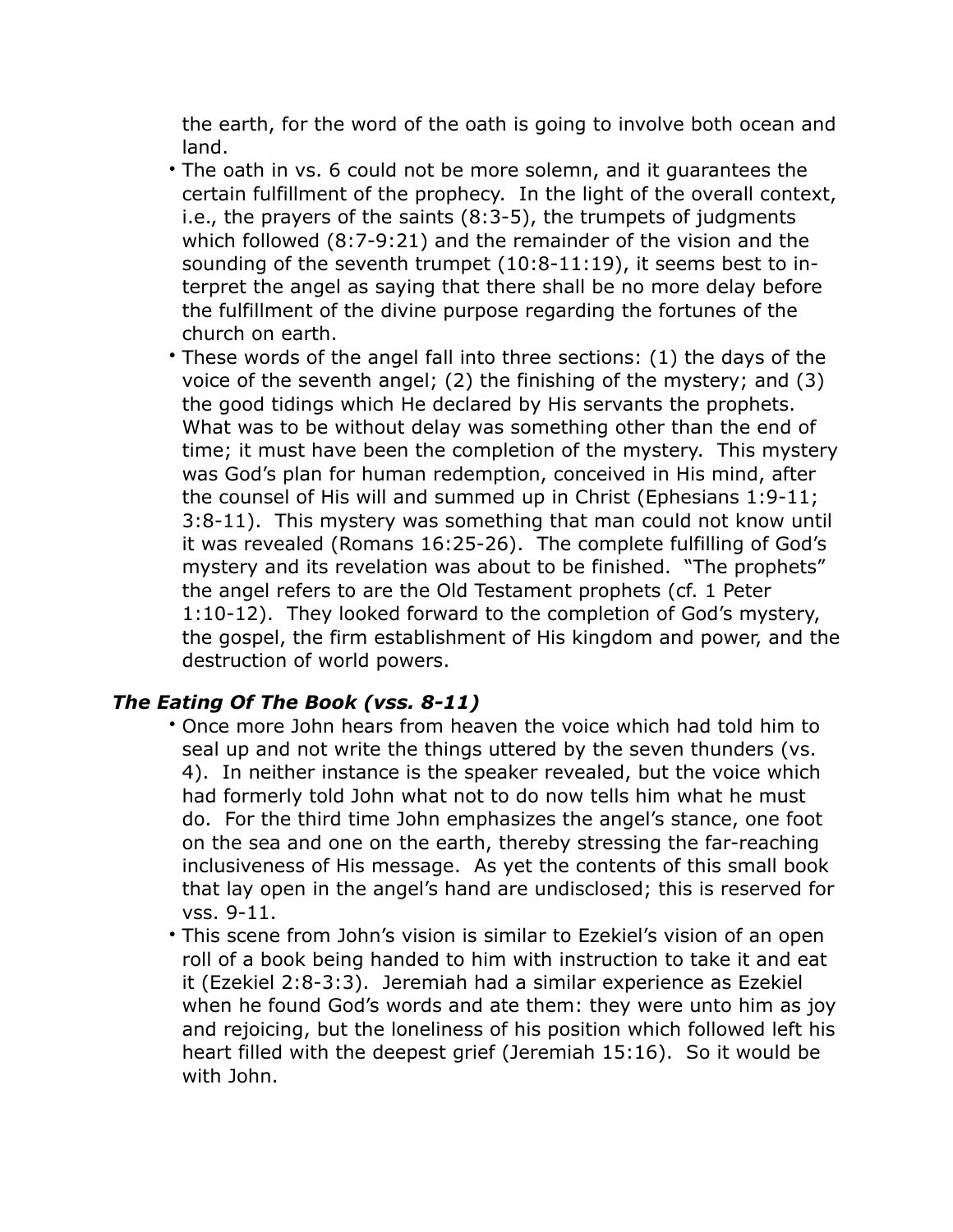the earth, for the word of the oath is going to involve both ocean and land.

- The oath in vs. 6 could not be more solemn, and it guarantees the certain fulfillment of the prophecy. In the light of the overall context, i.e., the prayers of the saints (8:3-5), the trumpets of judgments which followed (8:7-9:21) and the remainder of the vision and the sounding of the seventh trumpet (10:8-11:19), it seems best to interpret the angel as saying that there shall be no more delay before the fulfillment of the divine purpose regarding the fortunes of the church on earth.
- These words of the angel fall into three sections: (1) the days of the voice of the seventh angel; (2) the finishing of the mystery; and (3) the good tidings which He declared by His servants the prophets. What was to be without delay was something other than the end of time; it must have been the completion of the mystery. This mystery was God's plan for human redemption, conceived in His mind, after the counsel of His will and summed up in Christ (Ephesians 1:9-11; 3:8-11). This mystery was something that man could not know until it was revealed (Romans 16:25-26). The complete fulfilling of God's mystery and its revelation was about to be finished. "The prophets" the angel refers to are the Old Testament prophets (cf. 1 Peter 1:10-12). They looked forward to the completion of God's mystery, the gospel, the firm establishment of His kingdom and power, and the destruction of world powers.

## *The Eating Of The Book (vss. 8-11)*

- Once more John hears from heaven the voice which had told him to seal up and not write the things uttered by the seven thunders (vs. 4). In neither instance is the speaker revealed, but the voice which had formerly told John what not to do now tells him what he must do. For the third time John emphasizes the angel's stance, one foot on the sea and one on the earth, thereby stressing the far-reaching inclusiveness of His message. As yet the contents of this small book that lay open in the angel's hand are undisclosed; this is reserved for vss. 9-11.
- This scene from John's vision is similar to Ezekiel's vision of an open roll of a book being handed to him with instruction to take it and eat it (Ezekiel 2:8-3:3). Jeremiah had a similar experience as Ezekiel when he found God's words and ate them: they were unto him as joy and reioicing, but the loneliness of his position which followed left his heart filled with the deepest grief (Jeremiah 15:16). So it would be with John.